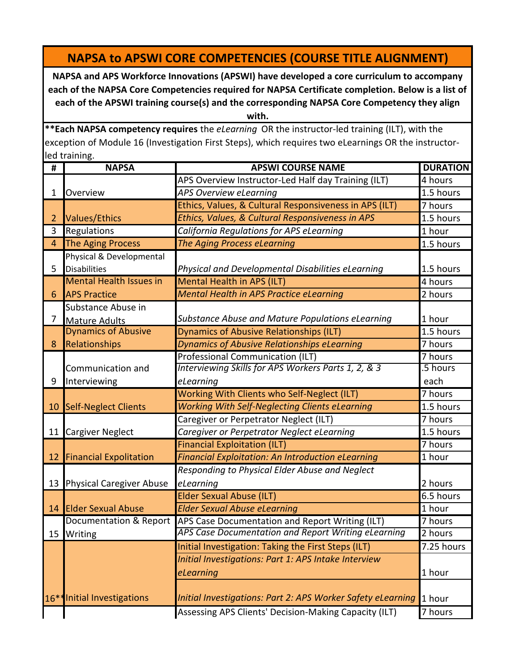## **NAPSA to APSWI CORE COMPETENCIES (COURSE TITLE ALIGNMENT)**

**NAPSA and APS Workforce Innovations (APSWI) have developed a core curriculum to accompany each of the NAPSA Core Competencies required for NAPSA Certificate completion. Below is a list of each of the APSWI training course(s) and the corresponding NAPSA Core Competency they align with.** 

**\*\*Each NAPSA competency requires** the *eLearning* OR the instructor-led training (ILT), with the exception of Module 16 (Investigation First Steps), which requires two eLearnings OR the instructorled training.

| #              | <b>NAPSA</b>                   | <b>APSWI COURSE NAME</b>                                    | <b>DURATION</b>         |
|----------------|--------------------------------|-------------------------------------------------------------|-------------------------|
|                |                                | APS Overview Instructor-Led Half day Training (ILT)         | 4 hours                 |
| 1              | Overview                       | <b>APS Overview eLearning</b>                               | 1.5 hours               |
|                |                                | Ethics, Values, & Cultural Responsiveness in APS (ILT)      | 7 hours                 |
| $\overline{2}$ | <b>Values/Ethics</b>           | Ethics, Values, & Cultural Responsiveness in APS            | 1.5 hours               |
| 3              | Regulations                    | California Regulations for APS eLearning                    | 1 hour                  |
| 4              | The Aging Process              | The Aging Process eLearning                                 | 1.5 hours               |
|                | Physical & Developmental       |                                                             |                         |
| 5              | <b>Disabilities</b>            | Physical and Developmental Disabilities eLearning           | 1.5 hours               |
|                | <b>Mental Health Issues in</b> | Mental Health in APS (ILT)                                  | 4 hours                 |
| 6              | <b>APS Practice</b>            | <b>Mental Health in APS Practice eLearning</b>              | 2 hours                 |
|                | Substance Abuse in             |                                                             |                         |
| 7              | <b>Mature Adults</b>           | Substance Abuse and Mature Populations eLearning            | 1 hour                  |
|                | <b>Dynamics of Abusive</b>     | <b>Dynamics of Abusive Relationships (ILT)</b>              | 1.5 hours               |
| 8              | Relationships                  | Dynamics of Abusive Relationships eLearning                 | 7 hours                 |
|                |                                | <b>Professional Communication (ILT)</b>                     | 7 hours                 |
|                | Communication and              | Interviewing Skills for APS Workers Parts 1, 2, & 3         | .5 hours                |
| 9              | Interviewing                   | eLearning                                                   | each                    |
|                |                                | Working With Clients who Self-Neglect (ILT)                 | 7 hours                 |
| 10             | <b>Self-Neglect Clients</b>    | <b>Working With Self-Neglecting Clients eLearning</b>       | 1.5 hours               |
|                |                                | Caregiver or Perpetrator Neglect (ILT)                      | 7 hours                 |
|                | 11 Cargiver Neglect            | Caregiver or Perpetrator Neglect eLearning                  | 1.5 hours               |
|                |                                | <b>Financial Exploitation (ILT)</b>                         | 7 hours                 |
| 12             | <b>Financial Expolitation</b>  | Financial Exploitation: An Introduction eLearning           | 1 hour                  |
|                |                                | Responding to Physical Elder Abuse and Neglect              |                         |
|                | 13 Physical Caregiver Abuse    | eLearning                                                   | 2 hours                 |
|                |                                | <b>Elder Sexual Abuse (ILT)</b>                             | 6.5 hours               |
|                | 14 Elder Sexual Abuse          | <b>Elder Sexual Abuse eLearning</b>                         | 1 hour                  |
|                | Documentation & Report         | APS Case Documentation and Report Writing (ILT)             | 7 hours                 |
|                | 15 Writing                     | APS Case Documentation and Report Writing eLearning         | 2 hours                 |
|                |                                | Initial Investigation: Taking the First Steps (ILT)         | $\overline{7.25}$ hours |
|                |                                | Initial Investigations: Part 1: APS Intake Interview        |                         |
|                |                                | eLearning                                                   | 1 hour                  |
|                |                                |                                                             |                         |
|                | 16** Initial Investigations    | Initial Investigations: Part 2: APS Worker Safety eLearning | 1 hour                  |
|                |                                | Assessing APS Clients' Decision-Making Capacity (ILT)       | 7 hours                 |